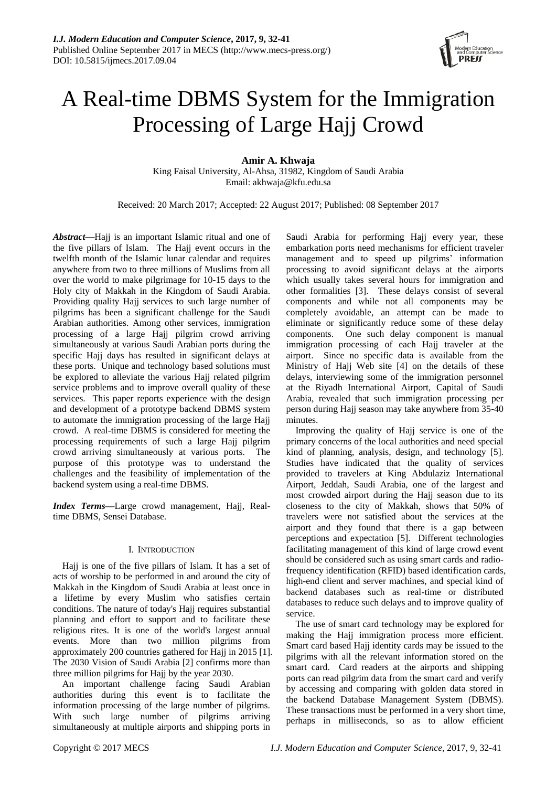

# A Real-time DBMS System for the Immigration Processing of Large Hajj Crowd

# **Amir A. Khwaja**

King Faisal University, Al-Ahsa, 31982, Kingdom of Saudi Arabia Email: akhwaja@kfu.edu.sa

Received: 20 March 2017; Accepted: 22 August 2017; Published: 08 September 2017

*Abstract***—**Hajj is an important Islamic ritual and one of the five pillars of Islam. The Hajj event occurs in the twelfth month of the Islamic lunar calendar and requires anywhere from two to three millions of Muslims from all over the world to make pilgrimage for 10-15 days to the Holy city of Makkah in the Kingdom of Saudi Arabia. Providing quality Hajj services to such large number of pilgrims has been a significant challenge for the Saudi Arabian authorities. Among other services, immigration processing of a large Hajj pilgrim crowd arriving simultaneously at various Saudi Arabian ports during the specific Hajj days has resulted in significant delays at these ports. Unique and technology based solutions must be explored to alleviate the various Hajj related pilgrim service problems and to improve overall quality of these services. This paper reports experience with the design and development of a prototype backend DBMS system to automate the immigration processing of the large Hajj crowd. A real-time DBMS is considered for meeting the processing requirements of such a large Hajj pilgrim crowd arriving simultaneously at various ports. The purpose of this prototype was to understand the challenges and the feasibility of implementation of the backend system using a real-time DBMS.

*Index Terms***—**Large crowd management, Hajj, Realtime DBMS, Sensei Database.

### I. INTRODUCTION

Hajj is one of the five pillars of Islam. It has a set of acts of worship to be performed in and around the city of Makkah in the Kingdom of Saudi Arabia at least once in a lifetime by every Muslim who satisfies certain conditions. The nature of today's Hajj requires substantial planning and effort to support and to facilitate these religious rites. It is one of the world's largest annual events. More than two million pilgrims from approximately 200 countries gathered for Hajj in 2015 [1]. The 2030 Vision of Saudi Arabia [2] confirms more than three million pilgrims for Hajj by the year 2030.

An important challenge facing Saudi Arabian authorities during this event is to facilitate the information processing of the large number of pilgrims. With such large number of pilgrims arriving simultaneously at multiple airports and shipping ports in Saudi Arabia for performing Hajj every year, these embarkation ports need mechanisms for efficient traveler management and to speed up pilgrims' information processing to avoid significant delays at the airports which usually takes several hours for immigration and other formalities [3]. These delays consist of several components and while not all components may be completely avoidable, an attempt can be made to eliminate or significantly reduce some of these delay components. One such delay component is manual immigration processing of each Hajj traveler at the airport. Since no specific data is available from the Ministry of Hajj Web site [4] on the details of these delays, interviewing some of the immigration personnel at the Riyadh International Airport, Capital of Saudi Arabia, revealed that such immigration processing per person during Hajj season may take anywhere from 35-40 minutes.

Improving the quality of Hajj service is one of the primary concerns of the local authorities and need special kind of planning, analysis, design, and technology [5]. Studies have indicated that the quality of services provided to travelers at King Abdulaziz International Airport, Jeddah, Saudi Arabia, one of the largest and most crowded airport during the Hajj season due to its closeness to the city of Makkah, shows that 50% of travelers were not satisfied about the services at the airport and they found that there is a gap between perceptions and expectation [5]. Different technologies facilitating management of this kind of large crowd event should be considered such as using smart cards and radiofrequency identification (RFID) based identification cards, high-end client and server machines, and special kind of backend databases such as real-time or distributed databases to reduce such delays and to improve quality of service.

The use of smart card technology may be explored for making the Hajj immigration process more efficient. Smart card based Hajj identity cards may be issued to the pilgrims with all the relevant information stored on the smart card. Card readers at the airports and shipping ports can read pilgrim data from the smart card and verify by accessing and comparing with golden data stored in the backend Database Management System (DBMS). These transactions must be performed in a very short time, perhaps in milliseconds, so as to allow efficient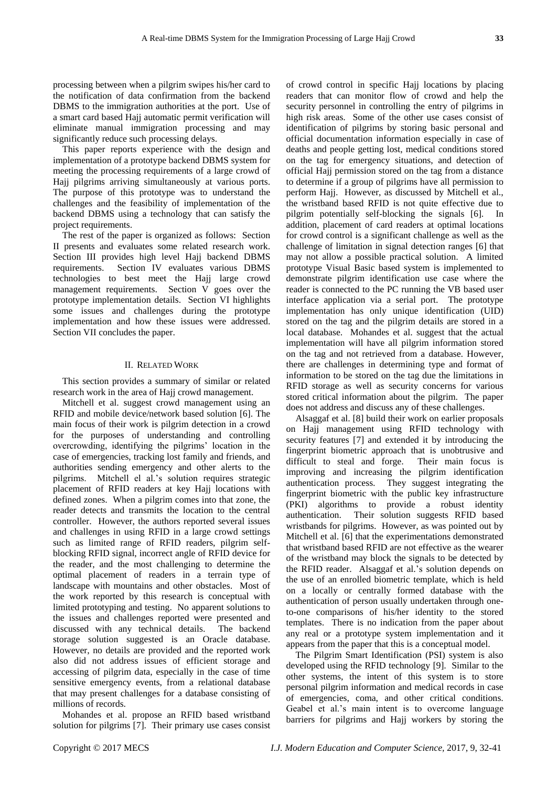processing between when a pilgrim swipes his/her card to the notification of data confirmation from the backend DBMS to the immigration authorities at the port. Use of a smart card based Hajj automatic permit verification will eliminate manual immigration processing and may significantly reduce such processing delays.

This paper reports experience with the design and implementation of a prototype backend DBMS system for meeting the processing requirements of a large crowd of Hajj pilgrims arriving simultaneously at various ports. The purpose of this prototype was to understand the challenges and the feasibility of implementation of the backend DBMS using a technology that can satisfy the project requirements.

The rest of the paper is organized as follows: Section II presents and evaluates some related research work. Section III provides high level Hajj backend DBMS requirements. Section IV evaluates various DBMS technologies to best meet the Hajj large crowd management requirements. Section V goes over the prototype implementation details. Section VI highlights some issues and challenges during the prototype implementation and how these issues were addressed. Section VII concludes the paper.

#### II. RELATED WORK

This section provides a summary of similar or related research work in the area of Hajj crowd management.

Mitchell et al. suggest crowd management using an RFID and mobile device/network based solution [6]. The main focus of their work is pilgrim detection in a crowd for the purposes of understanding and controlling overcrowding, identifying the pilgrims' location in the case of emergencies, tracking lost family and friends, and authorities sending emergency and other alerts to the pilgrims. Mitchell el al.'s solution requires strategic placement of RFID readers at key Hajj locations with defined zones. When a pilgrim comes into that zone, the reader detects and transmits the location to the central controller. However, the authors reported several issues and challenges in using RFID in a large crowd settings such as limited range of RFID readers, pilgrim selfblocking RFID signal, incorrect angle of RFID device for the reader, and the most challenging to determine the optimal placement of readers in a terrain type of landscape with mountains and other obstacles. Most of the work reported by this research is conceptual with limited prototyping and testing. No apparent solutions to the issues and challenges reported were presented and discussed with any technical details. The backend storage solution suggested is an Oracle database. However, no details are provided and the reported work also did not address issues of efficient storage and accessing of pilgrim data, especially in the case of time sensitive emergency events, from a relational database that may present challenges for a database consisting of millions of records.

Mohandes et al. propose an RFID based wristband solution for pilgrims [7]. Their primary use cases consist

of crowd control in specific Hajj locations by placing readers that can monitor flow of crowd and help the security personnel in controlling the entry of pilgrims in high risk areas. Some of the other use cases consist of identification of pilgrims by storing basic personal and official documentation information especially in case of deaths and people getting lost, medical conditions stored on the tag for emergency situations, and detection of official Hajj permission stored on the tag from a distance to determine if a group of pilgrims have all permission to perform Hajj. However, as discussed by Mitchell et al., the wristband based RFID is not quite effective due to pilgrim potentially self-blocking the signals [6]. In addition, placement of card readers at optimal locations for crowd control is a significant challenge as well as the challenge of limitation in signal detection ranges [6] that may not allow a possible practical solution. A limited prototype Visual Basic based system is implemented to demonstrate pilgrim identification use case where the reader is connected to the PC running the VB based user interface application via a serial port. The prototype implementation has only unique identification (UID) stored on the tag and the pilgrim details are stored in a local database. Mohandes et al. suggest that the actual implementation will have all pilgrim information stored on the tag and not retrieved from a database. However, there are challenges in determining type and format of information to be stored on the tag due the limitations in RFID storage as well as security concerns for various stored critical information about the pilgrim. The paper does not address and discuss any of these challenges.

Alsaggaf et al. [8] build their work on earlier proposals on Hajj management using RFID technology with security features [7] and extended it by introducing the fingerprint biometric approach that is unobtrusive and difficult to steal and forge. Their main focus is improving and increasing the pilgrim identification authentication process. They suggest integrating the fingerprint biometric with the public key infrastructure (PKI) algorithms to provide a robust identity authentication. Their solution suggests RFID based wristbands for pilgrims. However, as was pointed out by Mitchell et al. [6] that the experimentations demonstrated that wristband based RFID are not effective as the wearer of the wristband may block the signals to be detected by the RFID reader. Alsaggaf et al.'s solution depends on the use of an enrolled biometric template, which is held on a locally or centrally formed database with the authentication of person usually undertaken through oneto-one comparisons of his/her identity to the stored templates. There is no indication from the paper about any real or a prototype system implementation and it appears from the paper that this is a conceptual model.

The Pilgrim Smart Identification (PSI) system is also developed using the RFID technology [9]. Similar to the other systems, the intent of this system is to store personal pilgrim information and medical records in case of emergencies, coma, and other critical conditions. Geabel et al.'s main intent is to overcome language barriers for pilgrims and Hajj workers by storing the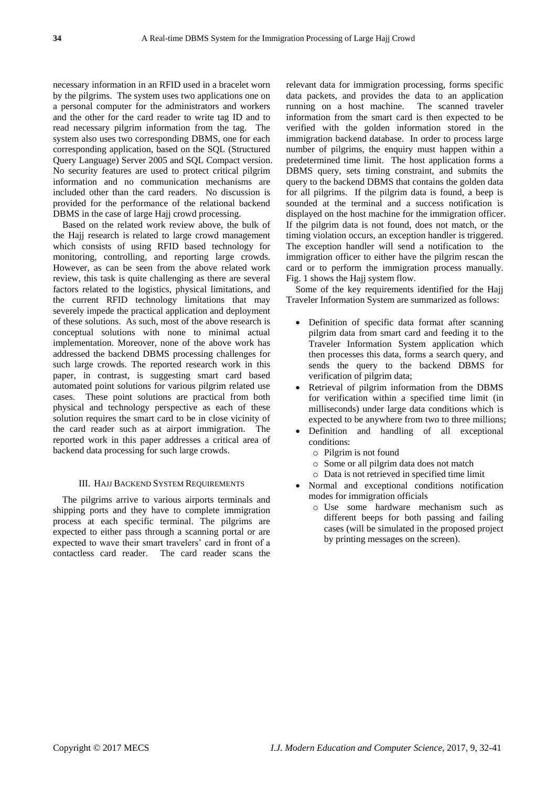necessary information in an RFID used in a bracelet worn by the pilgrims. The system uses two applications one on a personal computer for the administrators and workers and the other for the card reader to write tag ID and to read necessary pilgrim information from the tag. The system also uses two corresponding DBMS, one for each corresponding application, based on the SQL (Structured Query Language) Server 2005 and SQL Compact version. No security features are used to protect critical pilgrim information and no communication mechanisms are included other than the card readers. No discussion is provided for the performance of the relational backend DBMS in the case of large Hajj crowd processing.

Based on the related work review above, the bulk of the Hajj research is related to large crowd management which consists of using RFID based technology for monitoring, controlling, and reporting large crowds. However, as can be seen from the above related work review, this task is quite challenging as there are several factors related to the logistics, physical limitations, and the current RFID technology limitations that may severely impede the practical application and deployment of these solutions. As such, most of the above research is conceptual solutions with none to minimal actual implementation. Moreover, none of the above work has addressed the backend DBMS processing challenges for such large crowds. The reported research work in this paper, in contrast, is suggesting smart card based automated point solutions for various pilgrim related use cases. These point solutions are practical from both physical and technology perspective as each of these solution requires the smart card to be in close vicinity of the card reader such as at airport immigration. The reported work in this paper addresses a critical area of backend data processing for such large crowds.

#### III. HAJJ BACKEND SYSTEM REQUIREMENTS

The pilgrims arrive to various airports terminals and shipping ports and they have to complete immigration process at each specific terminal. The pilgrims are expected to either pass through a scanning portal or are expected to wave their smart travelers' card in front of a contactless card reader. The card reader scans the relevant data for immigration processing, forms specific data packets, and provides the data to an application running on a host machine. The scanned traveler information from the smart card is then expected to be verified with the golden information stored in the immigration backend database. In order to process large number of pilgrims, the enquiry must happen within a predetermined time limit. The host application forms a DBMS query, sets timing constraint, and submits the query to the backend DBMS that contains the golden data for all pilgrims. If the pilgrim data is found, a beep is sounded at the terminal and a success notification is displayed on the host machine for the immigration officer. If the pilgrim data is not found, does not match, or the timing violation occurs, an exception handler is triggered. The exception handler will send a notification to the immigration officer to either have the pilgrim rescan the card or to perform the immigration process manually. Fig. 1 shows the Hajj system flow.

Some of the key requirements identified for the Hajj Traveler Information System are summarized as follows:

- Definition of specific data format after scanning pilgrim data from smart card and feeding it to the Traveler Information System application which then processes this data, forms a search query, and sends the query to the backend DBMS for verification of pilgrim data;
- Retrieval of pilgrim information from the DBMS for verification within a specified time limit (in milliseconds) under large data conditions which is expected to be anywhere from two to three millions;
- Definition and handling of all exceptional conditions:
	- o Pilgrim is not found
	- o Some or all pilgrim data does not match
	- o Data is not retrieved in specified time limit
- Normal and exceptional conditions notification modes for immigration officials
	- o Use some hardware mechanism such as different beeps for both passing and failing cases (will be simulated in the proposed project by printing messages on the screen).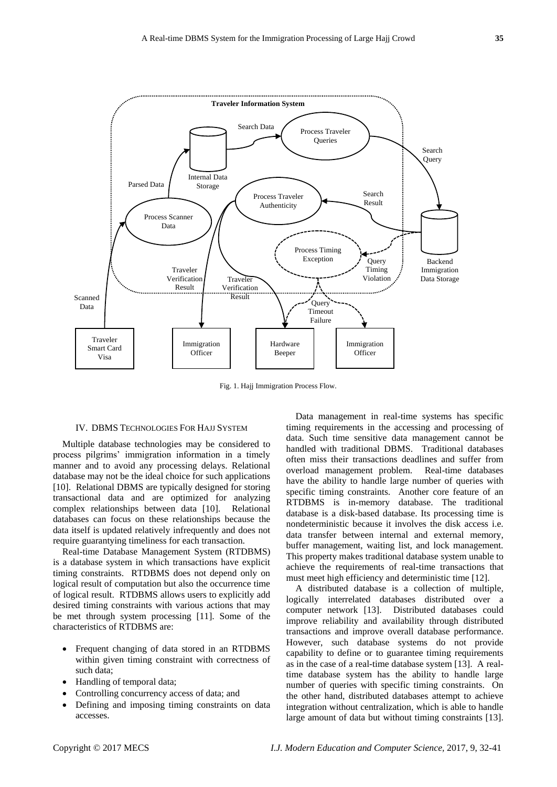

Fig. 1. Hajj Immigration Process Flow.

#### IV. DBMS TECHNOLOGIES FOR HAJJ SYSTEM

Multiple database technologies may be considered to process pilgrims' immigration information in a timely manner and to avoid any processing delays. Relational database may not be the ideal choice for such applications [10]. Relational DBMS are typically designed for storing transactional data and are optimized for analyzing complex relationships between data [10]. Relational databases can focus on these relationships because the data itself is updated relatively infrequently and does not require guarantying timeliness for each transaction.

Real-time Database Management System (RTDBMS) is a database system in which transactions have explicit timing constraints. RTDBMS does not depend only on logical result of computation but also the occurrence time of logical result. RTDBMS allows users to explicitly add desired timing constraints with various actions that may be met through system processing [11]. Some of the characteristics of RTDBMS are:

- Frequent changing of data stored in an RTDBMS within given timing constraint with correctness of such data;
- Handling of temporal data;
- Controlling concurrency access of data; and
- Defining and imposing timing constraints on data accesses.

Data management in real-time systems has specific timing requirements in the accessing and processing of data. Such time sensitive data management cannot be handled with traditional DBMS. Traditional databases often miss their transactions deadlines and suffer from overload management problem. Real-time databases have the ability to handle large number of queries with specific timing constraints. Another core feature of an RTDBMS is in-memory database. The traditional database is a disk-based database. Its processing time is nondeterministic because it involves the disk access i.e. data transfer between internal and external memory, buffer management, waiting list, and lock management. This property makes traditional database system unable to achieve the requirements of real-time transactions that must meet high efficiency and deterministic time [12].

A distributed database is a collection of multiple, logically interrelated databases distributed over a computer network [13]. Distributed databases could improve reliability and availability through distributed transactions and improve overall database performance. However, such database systems do not provide capability to define or to guarantee timing requirements as in the case of a real-time database system [13]. A realtime database system has the ability to handle large number of queries with specific timing constraints. On the other hand, distributed databases attempt to achieve integration without centralization, which is able to handle large amount of data but without timing constraints [13].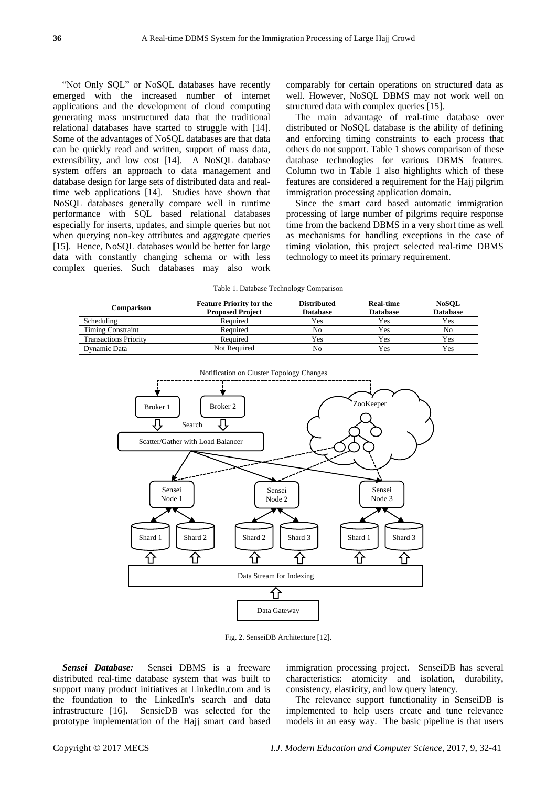"Not Only SQL" or NoSQL databases have recently emerged with the increased number of internet applications and the development of cloud computing generating mass unstructured data that the traditional relational databases have started to struggle with [14]. Some of the advantages of NoSQL databases are that data can be quickly read and written, support of mass data, extensibility, and low cost [14]. A NoSOL database system offers an approach to data management and database design for large sets of distributed data and realtime web applications [14]. Studies have shown that NoSQL databases generally compare well in runtime performance with SQL based relational databases especially for inserts, updates, and simple queries but not when querying non-key attributes and aggregate queries [15]. Hence, NoSQL databases would be better for large data with constantly changing schema or with less complex queries. Such databases may also work

comparably for certain operations on structured data as well. However, NoSQL DBMS may not work well on structured data with complex queries [15].

The main advantage of real-time database over distributed or NoSQL database is the ability of defining and enforcing timing constraints to each process that others do not support. Table 1 shows comparison of these database technologies for various DBMS features. Column two in Table 1 also highlights which of these features are considered a requirement for the Hajj pilgrim immigration processing application domain.

Since the smart card based automatic immigration processing of large number of pilgrims require response time from the backend DBMS in a very short time as well as mechanisms for handling exceptions in the case of timing violation, this project selected real-time DBMS technology to meet its primary requirement.

Table 1. Database Technology Comparison

| Comparison                   | <b>Feature Priority for the</b><br><b>Proposed Project</b> | <b>Distributed</b><br><b>Database</b> | <b>Real-time</b><br><b>Database</b> | <b>NoSQL</b><br><b>Database</b> |
|------------------------------|------------------------------------------------------------|---------------------------------------|-------------------------------------|---------------------------------|
| Scheduling                   | Required                                                   | Yes                                   | Yes                                 | Yes                             |
| <b>Timing Constraint</b>     | Required                                                   | No                                    | Yes                                 | No                              |
| <b>Transactions Priority</b> | Required                                                   | Yes                                   | Yes                                 | Yes                             |
| Dynamic Data                 | Not Required                                               | No                                    | Yes                                 | Yes                             |



Fig. 2. SenseiDB Architecture [12].

*Sensei Database:* Sensei DBMS is a freeware distributed real-time database system that was built to support many product initiatives at LinkedIn.com and is the foundation to the LinkedIn's search and data infrastructure [16]. SensieDB was selected for the prototype implementation of the Hajj smart card based immigration processing project. SenseiDB has several characteristics: atomicity and isolation, durability, consistency, elasticity, and low query latency.

The relevance support functionality in SenseiDB is implemented to help users create and tune relevance models in an easy way. The basic pipeline is that users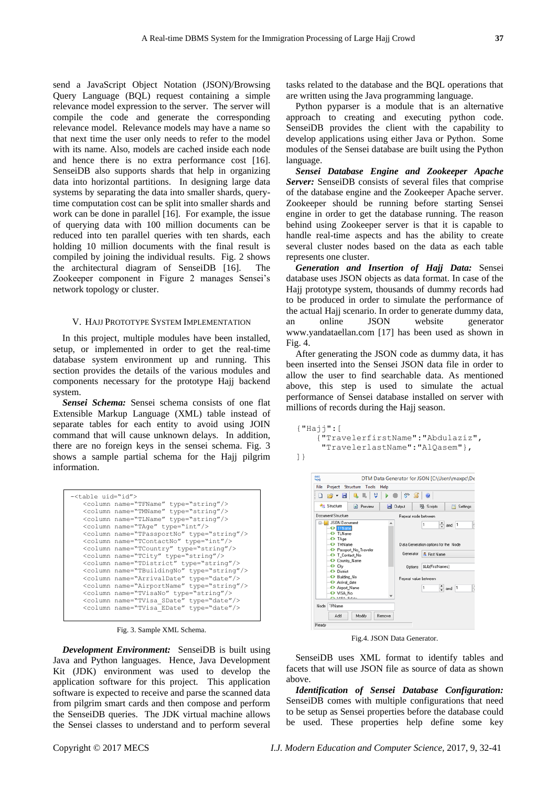relevance model expression to the server. The server will compile the code and generate the corresponding relevance model. Relevance models may have a name so that next time the user only needs to refer to the model with its name. Also, models are cached inside each node and hence there is no extra performance cost [16]. SenseiDB also supports shards that help in organizing data into horizontal partitions. In designing large data systems by separating the data into smaller shards, querytime computation cost can be split into smaller shards and work can be done in parallel [16]. For example, the issue of querying data with 100 million documents can be reduced into ten parallel queries with ten shards, each holding 10 million documents with the final result is compiled by joining the individual results. Fig. 2 shows the architectural diagram of SenseiDB [16]. The Zookeeper component in Figure 2 manages Sensei's network topology or cluster.

#### V. HAJJ PROTOTYPE SYSTEM IMPLEMENTATION

In this project, multiple modules have been installed, setup, or implemented in order to get the real-time database system environment up and running. This section provides the details of the various modules and components necessary for the prototype Hajj backend system.

*Sensei Schema:* Sensei schema consists of one flat Extensible Markup Language (XML) table instead of separate tables for each entity to avoid using JOIN command that will cause unknown delays. In addition, there are no foreign keys in the sensei schema. Fig. 3 shows a sample partial schema for the Hajj pilgrim information.

| - <table uid="id"></table>                         |
|----------------------------------------------------|
| <column name="TFName" type="string"></column>      |
| <column name="TMName" type="string"></column>      |
| <column name="TLName" type="string"></column>      |
| <column name="TAge" type="int"></column>           |
| <column name="TPassportNo" type="string"></column> |
| <column name="TContactNo" type="int"></column>     |
| <column name="TCountry" type="string"></column>    |
| <column name="TCity" type="string"></column>       |
| <column name="TDistrict" type="string"></column>   |
| <column name="TBuildingNo" type="string"></column> |
| <column name="ArrivalDate" type="date"></column>   |
| <column name="AirportName" type="string"></column> |
| <column name="TVisaNo" type="string"></column>     |
| <column name="TVisa SDate" type="date"></column>   |
| <column name="TVisa EDate" type="date"></column>   |
|                                                    |

Fig. 3. Sample XML Schema.

*Development Environment:* SenseiDB is built using Java and Python languages. Hence, Java Development Kit (JDK) environment was used to develop the application software for this project. This application software is expected to receive and parse the scanned data from pilgrim smart cards and then compose and perform the SenseiDB queries. The JDK virtual machine allows the Sensei classes to understand and to perform several tasks related to the database and the BQL operations that are written using the Java programming language.

Python pyparser is a module that is an alternative approach to creating and executing python code. SenseiDB provides the client with the capability to develop applications using either Java or Python. Some modules of the Sensei database are built using the Python language.

*Sensei Database Engine and Zookeeper Apache Server:* SenseiDB consists of several files that comprise of the database engine and the Zookeeper Apache server. Zookeeper should be running before starting Sensei engine in order to get the database running. The reason behind using Zookeeper server is that it is capable to handle real-time aspects and has the ability to create several cluster nodes based on the data as each table represents one cluster.

*Generation and Insertion of Hajj Data:* Sensei database uses JSON objects as data format. In case of the Hajj prototype system, thousands of dummy records had to be produced in order to simulate the performance of the actual Hajj scenario. In order to generate dummy data, an online JSON website generator www.yandataellan.com [17] has been used as shown in Fig. 4.

After generating the JSON code as dummy data, it has been inserted into the Sensei JSON data file in order to allow the user to find searchable data. As mentioned above, this step is used to simulate the actual performance of Sensei database installed on server with millions of records during the Hajj season.

```
{"Hajj":[
     {"TravelerfirstName":"Abdulaziz", 
      "TravelerlastName":"AlQasem"}, 
]}
```


Fig.4. JSON Data Generator.

SenseiDB uses XML format to identify tables and facets that will use JSON file as source of data as shown above.

*Identification of Sensei Database Configuration:*  SenseiDB comes with multiple configurations that need to be setup as Sensei properties before the database could be used. These properties help define some key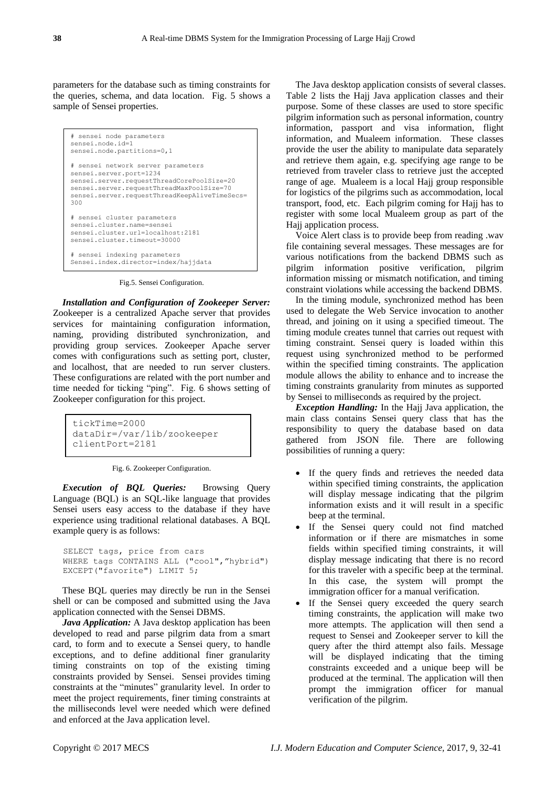parameters for the database such as timing constraints for the queries, schema, and data location. Fig. 5 shows a sample of Sensei properties.

```
# sensei node parameters
sensei.node.id=1
sensei.node.partitions=0,1
# sensei network server parameters
sensei.server.port=1234
sensei.server.requestThreadCorePoolSize=20
sensei.server.requestThreadMaxPoolSize=70
sensei.server.requestThreadKeepAliveTimeSecs=
300
# sensei cluster parameters
sensei.cluster.name=sensei
sensei.cluster.url=localhost:2181
sensei.cluster.timeout=30000
# sensei indexing parameters
Sensei.index.director=index/hajjdata
```
Fig.5. Sensei Configuration.

*Installation and Configuration of Zookeeper Server:*  Zookeeper is a centralized Apache server that provides services for maintaining configuration information, naming, providing distributed synchronization, and providing group services. Zookeeper Apache server comes with configurations such as setting port, cluster, and localhost, that are needed to run server clusters. These configurations are related with the port number and time needed for ticking "ping". Fig. 6 shows setting of Zookeeper configuration for this project.

```
tickTime=2000
dataDir=/var/lib/zookeeper
clientPort=2181
```
*Execution of BQL Queries:* Browsing Query Language (BQL) is an SQL-like language that provides Sensei users easy access to the database if they have experience using traditional relational databases. A BQL example query is as follows:

```
SELECT tags, price from cars 
WHERE tags CONTAINS ALL ("cool","hybrid") 
EXCEPT("favorite") LIMIT 5;
```
These BQL queries may directly be run in the Sensei shell or can be composed and submitted using the Java application connected with the Sensei DBMS.

*Java Application:* A Java desktop application has been developed to read and parse pilgrim data from a smart card, to form and to execute a Sensei query, to handle exceptions, and to define additional finer granularity timing constraints on top of the existing timing constraints provided by Sensei. Sensei provides timing constraints at the "minutes" granularity level. In order to meet the project requirements, finer timing constraints at the milliseconds level were needed which were defined and enforced at the Java application level.

The Java desktop application consists of several classes. Table 2 lists the Hajj Java application classes and their purpose. Some of these classes are used to store specific pilgrim information such as personal information, country information, passport and visa information, flight information, and Mualeem information. These classes provide the user the ability to manipulate data separately and retrieve them again, e.g. specifying age range to be retrieved from traveler class to retrieve just the accepted range of age. Mualeem is a local Hajj group responsible for logistics of the pilgrims such as accommodation, local transport, food, etc. Each pilgrim coming for Hajj has to register with some local Mualeem group as part of the Hajj application process.

Voice Alert class is to provide beep from reading .wav file containing several messages. These messages are for various notifications from the backend DBMS such as pilgrim information positive verification, pilgrim information missing or mismatch notification, and timing constraint violations while accessing the backend DBMS.

In the timing module, synchronized method has been used to delegate the Web Service invocation to another thread, and joining on it using a specified timeout. The timing module creates tunnel that carries out request with timing constraint. Sensei query is loaded within this request using synchronized method to be performed within the specified timing constraints. The application module allows the ability to enhance and to increase the timing constraints granularity from minutes as supported by Sensei to milliseconds as required by the project.

*Exception Handling:* In the Hajj Java application, the main class contains Sensei query class that has the responsibility to query the database based on data gathered from JSON file. There are following possibilities of running a query:

- If the query finds and retrieves the needed data within specified timing constraints, the application will display message indicating that the pilgrim information exists and it will result in a specific beep at the terminal.
- If the Sensei query could not find matched information or if there are mismatches in some fields within specified timing constraints, it will display message indicating that there is no record for this traveler with a specific beep at the terminal. In this case, the system will prompt the immigration officer for a manual verification.
- If the Sensei query exceeded the query search timing constraints, the application will make two more attempts. The application will then send a request to Sensei and Zookeeper server to kill the query after the third attempt also fails. Message will be displayed indicating that the timing constraints exceeded and a unique beep will be produced at the terminal. The application will then prompt the immigration officer for manual verification of the pilgrim.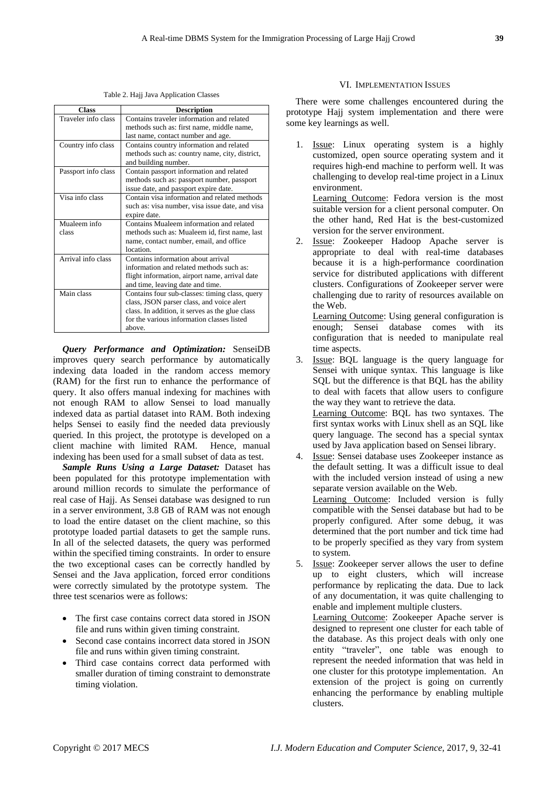Table 2. Hajj Java Application Classes

| <b>Class</b>        | <b>Description</b>                              |
|---------------------|-------------------------------------------------|
| Traveler info class | Contains traveler information and related       |
|                     | methods such as: first name, middle name,       |
|                     | last name, contact number and age.              |
| Country info class  | Contains country information and related        |
|                     | methods such as: country name, city, district,  |
|                     | and building number.                            |
| Passport info class | Contain passport information and related        |
|                     | methods such as: passport number, passport      |
|                     | issue date, and passport expire date.           |
| Visa info class     | Contain visa information and related methods    |
|                     | such as: visa number, visa issue date, and visa |
|                     | expire date.                                    |
| Mualeem info        | Contains Mualeem information and related        |
| class               | methods such as: Mualeem id, first name, last   |
|                     | name, contact number, email, and office         |
|                     | location.                                       |
| Arrival info class  | Contains information about arrival              |
|                     | information and related methods such as:        |
|                     | flight information, airport name, arrival date  |
|                     | and time, leaving date and time.                |
| Main class          | Contains four sub-classes: timing class, query  |
|                     | class, JSON parser class, and voice alert       |
|                     | class. In addition, it serves as the glue class |
|                     | for the various information classes listed      |
|                     | above.                                          |

*Query Performance and Optimization:* SenseiDB improves query search performance by automatically indexing data loaded in the random access memory (RAM) for the first run to enhance the performance of query. It also offers manual indexing for machines with not enough RAM to allow Sensei to load manually indexed data as partial dataset into RAM. Both indexing helps Sensei to easily find the needed data previously queried. In this project, the prototype is developed on a client machine with limited RAM. Hence, manual indexing has been used for a small subset of data as test.

*Sample Runs Using a Large Dataset:* Dataset has been populated for this prototype implementation with around million records to simulate the performance of real case of Hajj. As Sensei database was designed to run in a server environment, 3.8 GB of RAM was not enough to load the entire dataset on the client machine, so this prototype loaded partial datasets to get the sample runs. In all of the selected datasets, the query was performed within the specified timing constraints. In order to ensure the two exceptional cases can be correctly handled by Sensei and the Java application, forced error conditions were correctly simulated by the prototype system. The three test scenarios were as follows:

- The first case contains correct data stored in JSON file and runs within given timing constraint.
- Second case contains incorrect data stored in JSON file and runs within given timing constraint.
- Third case contains correct data performed with smaller duration of timing constraint to demonstrate timing violation.

#### VI. IMPLEMENTATION ISSUES

There were some challenges encountered during the prototype Hajj system implementation and there were some key learnings as well.

1. Issue: Linux operating system is a highly customized, open source operating system and it requires high-end machine to perform well. It was challenging to develop real-time project in a Linux environment.

Learning Outcome: Fedora version is the most suitable version for a client personal computer. On the other hand, Red Hat is the best-customized version for the server environment.

2. Issue: Zookeeper Hadoop Apache server is appropriate to deal with real-time databases because it is a high-performance coordination service for distributed applications with different clusters. Configurations of Zookeeper server were challenging due to rarity of resources available on the Web.

Learning Outcome: Using general configuration is enough; Sensei database comes with its configuration that is needed to manipulate real time aspects.

- 3. Issue: BQL language is the query language for Sensei with unique syntax. This language is like SQL but the difference is that BQL has the ability to deal with facets that allow users to configure the way they want to retrieve the data. Learning Outcome: BQL has two syntaxes. The first syntax works with Linux shell as an SQL like query language. The second has a special syntax used by Java application based on Sensei library. 4. Issue: Sensei database uses Zookeeper instance as
- the default setting. It was a difficult issue to deal with the included version instead of using a new separate version available on the Web. Learning Outcome: Included version is fully compatible with the Sensei database but had to be properly configured. After some debug, it was determined that the port number and tick time had to be properly specified as they vary from system to system. 5. Issue: Zookeeper server allows the user to define

up to eight clusters, which will increase performance by replicating the data. Due to lack of any documentation, it was quite challenging to enable and implement multiple clusters.

Learning Outcome: Zookeeper Apache server is designed to represent one cluster for each table of the database. As this project deals with only one entity "traveler", one table was enough to represent the needed information that was held in one cluster for this prototype implementation. An extension of the project is going on currently enhancing the performance by enabling multiple clusters.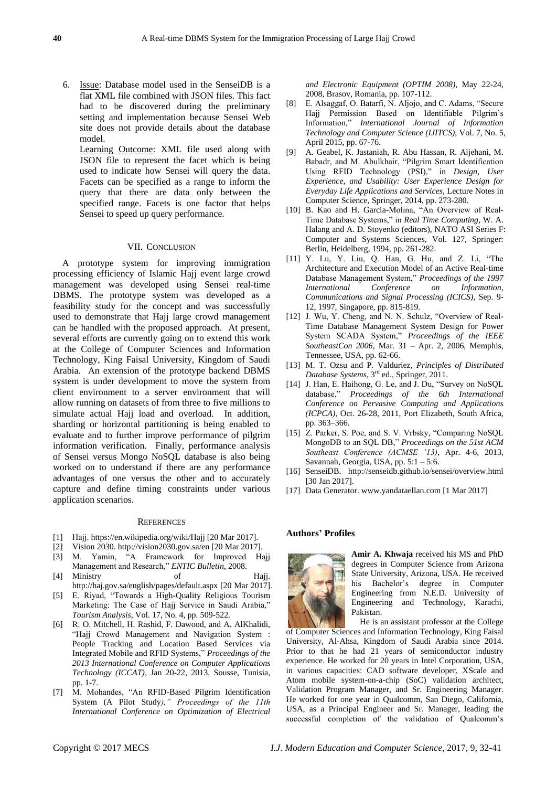6. Issue: Database model used in the SenseiDB is a flat XML file combined with JSON files. This fact had to be discovered during the preliminary setting and implementation because Sensei Web site does not provide details about the database model.

Learning Outcome: XML file used along with JSON file to represent the facet which is being used to indicate how Sensei will query the data. Facets can be specified as a range to inform the query that there are data only between the specified range. Facets is one factor that helps Sensei to speed up query performance.

#### VII. CONCLUSION

A prototype system for improving immigration processing efficiency of Islamic Hajj event large crowd management was developed using Sensei real-time DBMS. The prototype system was developed as a feasibility study for the concept and was successfully used to demonstrate that Hajj large crowd management can be handled with the proposed approach. At present, several efforts are currently going on to extend this work at the College of Computer Sciences and Information Technology, King Faisal University, Kingdom of Saudi Arabia. An extension of the prototype backend DBMS system is under development to move the system from client environment to a server environment that will allow running on datasets of from three to five millions to simulate actual Hajj load and overload. In addition, sharding or horizontal partitioning is being enabled to evaluate and to further improve performance of pilgrim information verification. Finally, performance analysis of Sensei versus Mongo NoSQL database is also being worked on to understand if there are any performance advantages of one versus the other and to accurately capture and define timing constraints under various application scenarios.

#### **REFERENCES**

- [1] Hajj. https://en.wikipedia.org/wiki/Hajj [20 Mar 2017].
- [2] Vision 2030. http://vision2030.gov.sa/en [20 Mar 2017].
- [3] M. Yamin, "A Framework for Improved Hajj Management and Research," *ENTIC Bulletin*, 2008.
- [4] Ministry of Hajj. http://haj.gov.sa/english/pages/default.aspx [20 Mar 2017].
- [5] E. Riyad, "Towards a High-Quality Religious Tourism Marketing: The Case of Hajj Service in Saudi Arabia," *Tourism Analysis,* Vol. 17, No. 4, pp. 509-522.
- [6] R. O. Mitchell, H. Rashid, F. Dawood, and A. AlKhalidi, "Hajj Crowd Management and Navigation System : People Tracking and Location Based Services via Integrated Mobile and RFID Systems," *Proceedings of the 2013 International Conference on Computer Applications Technology (ICCAT)*, Jan 20-22, 2013, Sousse, Tunisia, pp. 1-7.
- [7] M. Mohandes, "An RFID-Based Pilgrim Identification System (A Pilot Study*)," Proceedings of the 11th International Conference on Optimization of Electrical*

*and Electronic Equipment (OPTIM 2008)*, May 22-24, 2008, Brasov, Romania, pp. 107-112.

- [8] E. Alsaggaf, O. Batarfi, N. Aljojo, and C. Adams, "Secure Hajj Permission Based on Identifiable Pilgrim's Information," *International Journal of Information Technology and Computer Science (IJITCS)*, Vol. 7, No. 5, April 2015, pp. 67-76.
- [9] A. Geabel, K. Jastaniah, R. Abu Hassan, R. Aljehani, M. Babadr, and M. Abulkhair, "Pilgrim Smart Identification Using RFID Technology (PSI)," in *Design, User Experience, and Usability: User Experience Design for Everyday Life Applications and Services*, Lecture Notes in Computer Science, Springer, 2014, pp. 273-280.
- [10] B. Kao and H. Garcia-Molina, "An Overview of Real-Time Database Systems," in *Real Time Computing*, W. A. Halang and A. D. Stoyenko (editors), NATO ASI Series F: Computer and Systems Sciences, Vol. 127, Springer: Berlin, Heidelberg, 1994, pp. 261-282.
- [11] Y. Lu, Y. Liu, Q. Han, G. Hu, and Z. Li, "The Architecture and Execution Model of an Active Real-time Database Management System," *Proceedings of the 1997 International Conference on Information, Communications and Signal Processing (ICICS)*, Sep. 9- 12, 1997, Singapore, pp. 815-819.
- [12] J. Wu, Y. Cheng, and N. N. Schulz, "Overview of Real-Time Database Management System Design for Power System SCADA System," *Proceedings of the IEEE SoutheastCon 2006*, Mar. 31 – Apr. 2, 2006, Memphis, Tennessee, USA, pp. 62-66.
- [13] M. T. Ozsu and P. Valduriez, *Principles of Distributed Database Systems*, 3rd ed., Springer, 2011.
- [14] J. Han, E. Haihong, G. Le, and J. Du, "Survey on NoSQL database," *Proceedings of the 6th International Conference on Pervasive Computing and Applications (ICPCA)*, Oct. 26-28, 2011, Port Elizabeth, South Africa, pp. 363–366.
- [15] Z. Parker, S. Poe, and S. V. Vrbsky, "Comparing NoSQL MongoDB to an SQL DB," *Proceedings on the 51st ACM Southeast Conference (ACMSE '13)*, Apr. 4-6, 2013, Savannah, Georgia, USA, pp. 5:1 – 5:6.
- [16] SenseiDB. http://senseidb.github.io/sensei/overview.html [30 Jan 2017].
- [17] Data Generator. www.yandataellan.com [1 Mar 2017]

## **Authors' Profiles**



**Amir A. Khwaja** received his MS and PhD degrees in Computer Science from Arizona State University, Arizona, USA. He received his Bachelor's degree in Computer Engineering from N.E.D. University of Engineering and Technology, Karachi, Pakistan.

He is an assistant professor at the College of Computer Sciences and Information Technology, King Faisal University, Al-Ahsa, Kingdom of Saudi Arabia since 2014. Prior to that he had 21 years of semiconductor industry experience. He worked for 20 years in Intel Corporation, USA, in various capacities: CAD software developer, XScale and Atom mobile system-on-a-chip (SoC) validation architect, Validation Program Manager, and Sr. Engineering Manager. He worked for one year in Qualcomm, San Diego, California, USA, as a Principal Engineer and Sr. Manager, leading the successful completion of the validation of Qualcomm's